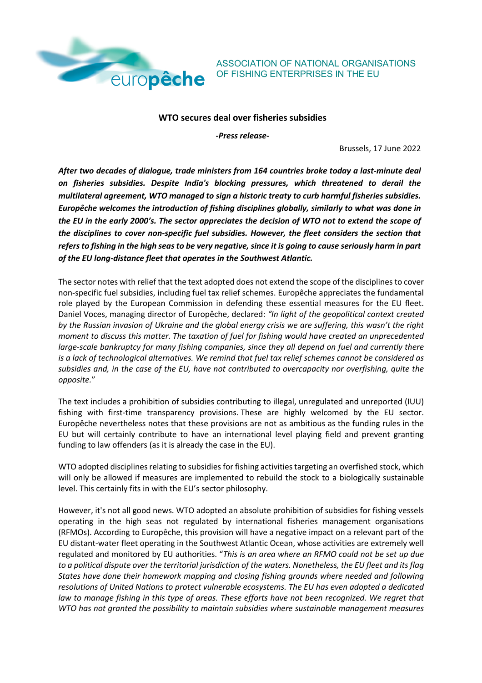

ASSOCIATION OF NATIONAL ORGANISATIONS OF FISHING ENTERPRISES IN THE EU

## **WTO secures deal over fisheries subsidies**

*-Press release-*

Brussels, 17 June 2022

*After two decades of dialogue, trade ministers from 164 countries broke today a last-minute deal on fisheries subsidies. Despite India's blocking pressures, which threatened to derail the multilateral agreement, WTO managed to sign a historic treaty to curb harmful fisheries subsidies. Europêche welcomes the introduction of fishing disciplines globally, similarly to what was done in the EU in the early 2000's. The sector appreciates the decision of WTO not to extend the scope of the disciplines to cover non-specific fuel subsidies. However, the fleet considers the section that refers to fishing in the high seas to be very negative, since it is going to cause seriously harm in part of the EU long-distance fleet that operates in the Southwest Atlantic.*

The sector notes with relief that the text adopted does not extend the scope of the disciplines to cover non-specific fuel subsidies, including fuel tax relief schemes. Europêche appreciates the fundamental role played by the European Commission in defending these essential measures for the EU fleet. Daniel Voces, managing director of Europêche, declared: *"In light of the geopolitical context created by the Russian invasion of Ukraine and the global energy crisis we are suffering, this wasn't the right moment to discuss this matter. The taxation of fuel for fishing would have created an unprecedented large-scale bankruptcy for many fishing companies, since they all depend on fuel and currently there is a lack of technological alternatives. We remind that fuel tax relief schemes cannot be considered as subsidies and, in the case of the EU, have not contributed to overcapacity nor overfishing, quite the opposite.*"

The text includes a prohibition of subsidies contributing to illegal, unregulated and unreported (IUU) fishing with first-time transparency provisions. These are highly welcomed by the EU sector. Europêche nevertheless notes that these provisions are not as ambitious as the funding rules in the EU but will certainly contribute to have an international level playing field and prevent granting funding to law offenders (as it is already the case in the EU).

WTO adopted disciplines relating to subsidies for fishing activities targeting an overfished stock, which will only be allowed if measures are implemented to rebuild the stock to a biologically sustainable level. This certainly fits in with the EU's sector philosophy.

However, it's not all good news. WTO adopted an absolute prohibition of subsidies for fishing vessels operating in the high seas not regulated by international fisheries management organisations (RFMOs). According to Europêche, this provision will have a negative impact on a relevant part of the EU distant-water fleet operating in the Southwest Atlantic Ocean, whose activities are extremely well regulated and monitored by EU authorities. "*This is an area where an RFMO could not be set up due to a political dispute over the territorial jurisdiction of the waters. Nonetheless, the EU fleet and its flag States have done their homework mapping and closing fishing grounds where needed and following resolutions of United Nations to protect vulnerable ecosystems. The EU has even adopted a dedicated law to manage fishing in this type of areas. These efforts have not been recognized. We regret that WTO has not granted the possibility to maintain subsidies where sustainable management measures*